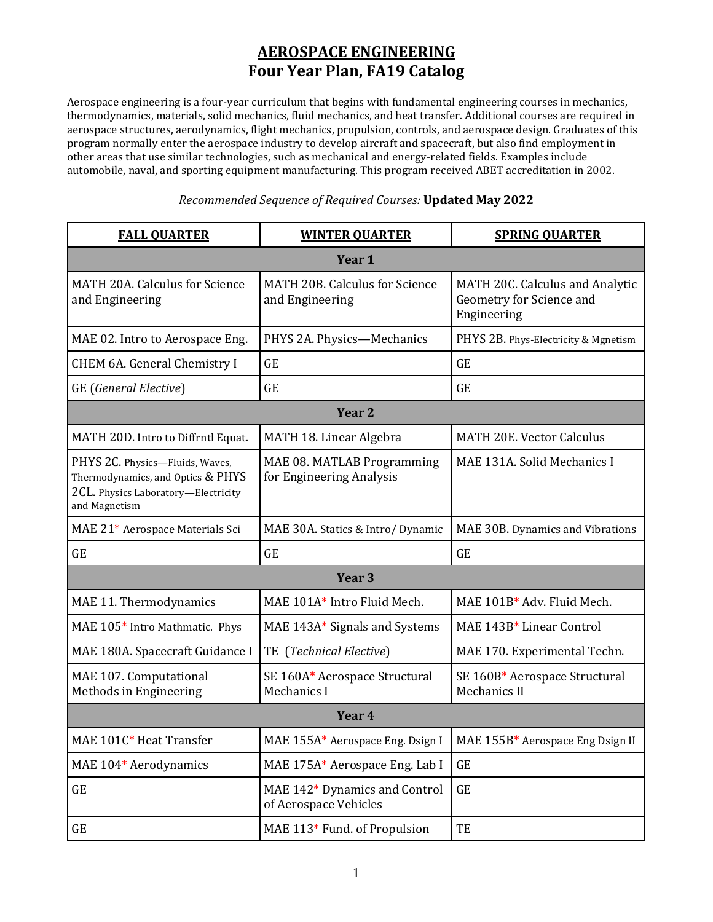## **AEROSPACE ENGINEERING Four Year Plan, FA19 Catalog**

Aerospace engineering is a four-year curriculum that begins with fundamental engineering courses in mechanics, thermodynamics, materials, solid mechanics, fluid mechanics, and heat transfer. Additional courses are required in aerospace structures, aerodynamics, flight mechanics, propulsion, controls, and aerospace design. Graduates of this program normally enter the aerospace industry to develop aircraft and spacecraft, but also find employment in other areas that use similar technologies, such as mechanical and energy-related fields. Examples include automobile, naval, and sporting equipment manufacturing. This program received ABET accreditation in 2002.

| <b>FALL OUARTER</b>                                                                                                          | <b>WINTER OUARTER</b>                                  | <b>SPRING OUARTER</b>                                                      |
|------------------------------------------------------------------------------------------------------------------------------|--------------------------------------------------------|----------------------------------------------------------------------------|
| Year 1                                                                                                                       |                                                        |                                                                            |
| MATH 20A. Calculus for Science<br>and Engineering                                                                            | MATH 20B. Calculus for Science<br>and Engineering      | MATH 20C. Calculus and Analytic<br>Geometry for Science and<br>Engineering |
| MAE 02. Intro to Aerospace Eng.                                                                                              | PHYS 2A. Physics-Mechanics                             | PHYS 2B. Phys-Electricity & Mgnetism                                       |
| CHEM 6A. General Chemistry I                                                                                                 | <b>GE</b>                                              | <b>GE</b>                                                                  |
| GE (General Elective)                                                                                                        | <b>GE</b>                                              | <b>GE</b>                                                                  |
| Year <sub>2</sub>                                                                                                            |                                                        |                                                                            |
| MATH 20D. Intro to Diffrntl Equat.                                                                                           | MATH 18. Linear Algebra                                | <b>MATH 20E. Vector Calculus</b>                                           |
| PHYS 2C. Physics-Fluids, Waves,<br>Thermodynamics, and Optics & PHYS<br>2CL. Physics Laboratory-Electricity<br>and Magnetism | MAE 08. MATLAB Programming<br>for Engineering Analysis | MAE 131A. Solid Mechanics I                                                |
| MAE 21* Aerospace Materials Sci                                                                                              | MAE 30A. Statics & Intro/ Dynamic                      | MAE 30B. Dynamics and Vibrations                                           |
| <b>GE</b>                                                                                                                    | <b>GE</b>                                              | <b>GE</b>                                                                  |
| Year <sub>3</sub>                                                                                                            |                                                        |                                                                            |
| MAE 11. Thermodynamics                                                                                                       | MAE 101A* Intro Fluid Mech.                            | MAE 101B* Adv. Fluid Mech.                                                 |
| MAE 105* Intro Mathmatic. Phys                                                                                               | MAE 143A* Signals and Systems                          | MAE 143B* Linear Control                                                   |
| MAE 180A. Spacecraft Guidance I                                                                                              | TE (Technical Elective)                                | MAE 170. Experimental Techn.                                               |
| MAE 107. Computational<br>Methods in Engineering                                                                             | SE 160A* Aerospace Structural<br>Mechanics I           | SE 160B* Aerospace Structural<br>Mechanics II                              |
| Year 4                                                                                                                       |                                                        |                                                                            |
| MAE 101C* Heat Transfer                                                                                                      | MAE 155A* Aerospace Eng. Dsign I                       | MAE 155B* Aerospace Eng Dsign II                                           |
| MAE 104* Aerodynamics                                                                                                        | MAE 175A* Aerospace Eng. Lab I                         | <b>GE</b>                                                                  |
| <b>GE</b>                                                                                                                    | MAE 142* Dynamics and Control<br>of Aerospace Vehicles | $\operatorname{GE}$                                                        |
| GE                                                                                                                           | MAE 113* Fund. of Propulsion                           | TE                                                                         |

## *Recommended Sequence of Required Courses:* **Updated May 2022**